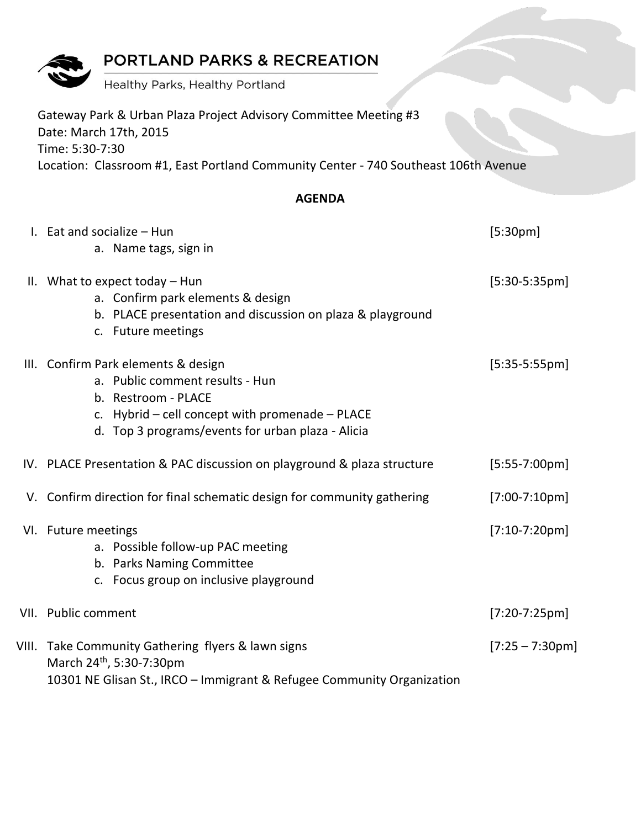# PORTLAND PARKS & RECREATION

Healthy Parks, Healthy Portland

| Gateway Park & Urban Plaza Project Advisory Committee Meeting #3<br>Date: March 17th, 2015             |
|--------------------------------------------------------------------------------------------------------|
| Time: 5:30-7:30<br>Location: Classroom #1, East Portland Community Center - 740 Southeast 106th Avenue |
| <b>AGENDA</b>                                                                                          |

| I. Eat and socialize - Hun                                                                                                                                                                                | [5:30pm]          |
|-----------------------------------------------------------------------------------------------------------------------------------------------------------------------------------------------------------|-------------------|
| a. Name tags, sign in                                                                                                                                                                                     |                   |
| II. What to expect today $-$ Hun<br>a. Confirm park elements & design                                                                                                                                     | $[5:30-5:35pm]$   |
| b. PLACE presentation and discussion on plaza & playground<br>c. Future meetings                                                                                                                          |                   |
| III. Confirm Park elements & design<br>a. Public comment results - Hun<br>b. Restroom - PLACE<br>c. Hybrid $-$ cell concept with promenade $-$ PLACE<br>d. Top 3 programs/events for urban plaza - Alicia | $[5:35-5:55pm]$   |
| IV. PLACE Presentation & PAC discussion on playground & plaza structure                                                                                                                                   | $[5:55-7:00pm]$   |
| V. Confirm direction for final schematic design for community gathering                                                                                                                                   | $[7:00-7:10pm]$   |
| VI. Future meetings<br>a. Possible follow-up PAC meeting<br>b. Parks Naming Committee<br>c. Focus group on inclusive playground                                                                           | $[7:10-7:20pm]$   |
| VII. Public comment                                                                                                                                                                                       | $[7:20-7:25pm]$   |
| VIII. Take Community Gathering flyers & lawn signs<br>March 24 <sup>th</sup> , 5:30-7:30pm<br>10301 NE Glisan St., IRCO - Immigrant & Refugee Community Organization                                      | $[7:25 - 7:30pm]$ |